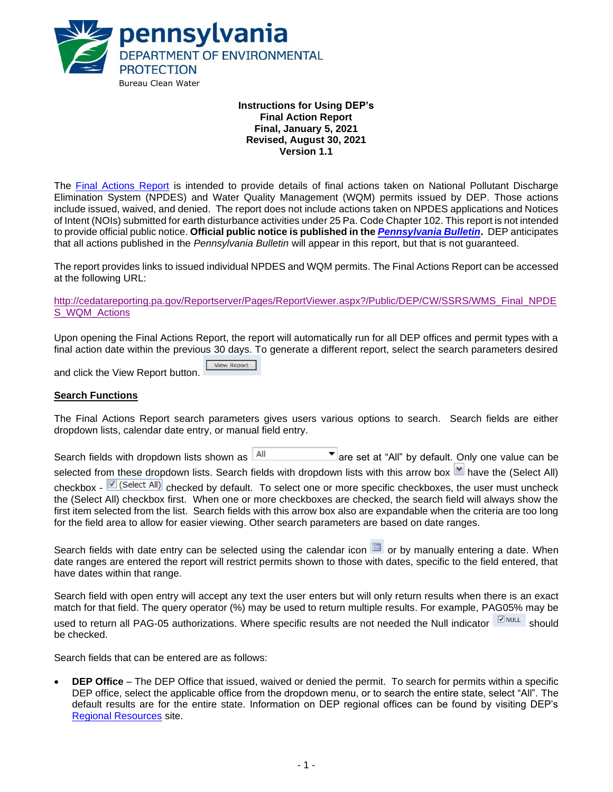

## **Instructions for Using DEP's Final Action Report Final, January 5, 2021 Revised, August 30, 2021 Version 1.1**

The [Final Actions Report](http://cedatareporting.pa.gov/Reportserver/Pages/ReportViewer.aspx?/Public/DEP/CW/SSRS/WMS_Final_NPDES_WQM_Actions) is intended to provide details of final actions taken on National Pollutant Discharge Elimination System (NPDES) and Water Quality Management (WQM) permits issued by DEP. Those actions include issued, waived, and denied. The report does not include actions taken on NPDES applications and Notices of Intent (NOIs) submitted for earth disturbance activities under 25 Pa. Code Chapter 102. This report is not intended to provide official public notice. **Official public notice is published in the** *[Pennsylvania Bulletin](http://www.pacodeandbulletin.gov/)***.** DEP anticipates that all actions published in the *Pennsylvania Bulletin* will appear in this report, but that is not guaranteed.

The report provides links to issued individual NPDES and WQM permits. The Final Actions Report can be accessed at the following URL:

[http://cedatareporting.pa.gov/Reportserver/Pages/ReportViewer.aspx?/Public/DEP/CW/SSRS/WMS\\_Final\\_NPDE](http://cedatareporting.pa.gov/Reportserver/Pages/ReportViewer.aspx?/Public/DEP/CW/SSRS/WMS_Final_NPDES_WQM_Actions) [S\\_WQM\\_Actions](http://cedatareporting.pa.gov/Reportserver/Pages/ReportViewer.aspx?/Public/DEP/CW/SSRS/WMS_Final_NPDES_WQM_Actions)

Upon opening the Final Actions Report, the report will automatically run for all DEP offices and permit types with a final action date within the previous 30 days. To generate a different report, select the search parameters desired

View Report and click the View Report button.

#### **Search Functions**

The Final Actions Report search parameters gives users various options to search. Search fields are either dropdown lists, calendar date entry, or manual field entry.

Search fields with dropdown lists shown as  $\frac{|\mathsf{All}|}{|\mathsf{All}|}$  are set at "All" by default. Only one value can be selected from these dropdown lists. Search fields with dropdown lists with this arrow box  $\mathbb{M}$  have the (Select All) checkbox - C (Select All) checked by default. To select one or more specific checkboxes, the user must uncheck the (Select All) checkbox first. When one or more checkboxes are checked, the search field will always show the first item selected from the list. Search fields with this arrow box also are expandable when the criteria are too long for the field area to allow for easier viewing. Other search parameters are based on date ranges.

Search fields with date entry can be selected using the calendar icon **or** or by manually entering a date. When date ranges are entered the report will restrict permits shown to those with dates, specific to the field entered, that have dates within that range.

Search field with open entry will accept any text the user enters but will only return results when there is an exact match for that field. The query operator (%) may be used to return multiple results. For example, PAG05% may be used to return all PAG-05 authorizations. Where specific results are not needed the Null indicator **SHOWLL** should be checked.

Search fields that can be entered are as follows:

• **DEP Office** – The DEP Office that issued, waived or denied the permit. To search for permits within a specific DEP office, select the applicable office from the dropdown menu, or to search the entire state, select "All". The default results are for the entire state. Information on DEP regional offices can be found by visiting DEP's [Regional Resources](https://www.dep.pa.gov/About/Regional/Pages/default.aspx#.VfxOz99VhBc) site.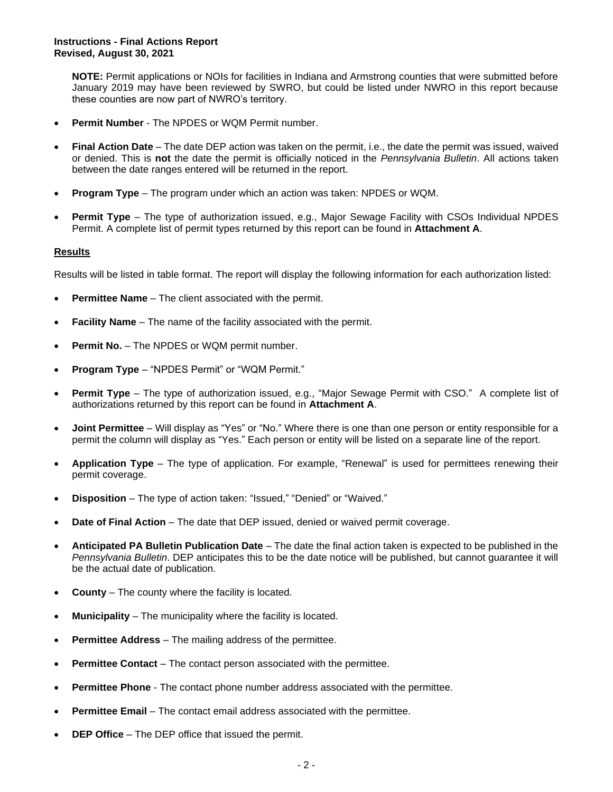**NOTE:** Permit applications or NOIs for facilities in Indiana and Armstrong counties that were submitted before January 2019 may have been reviewed by SWRO, but could be listed under NWRO in this report because these counties are now part of NWRO's territory.

- **Permit Number** The NPDES or WQM Permit number.
- **Final Action Date**  The date DEP action was taken on the permit, i.e., the date the permit was issued, waived or denied. This is **not** the date the permit is officially noticed in the *Pennsylvania Bulletin*. All actions taken between the date ranges entered will be returned in the report.
- **Program Type** The program under which an action was taken: NPDES or WQM.
- **Permit Type** The type of authorization issued, e.g., Major Sewage Facility with CSOs Individual NPDES Permit. A complete list of permit types returned by this report can be found in **Attachment A**.

## **Results**

Results will be listed in table format. The report will display the following information for each authorization listed:

- **Permittee Name** The client associated with the permit.
- **Facility Name** The name of the facility associated with the permit.
- **Permit No.** The NPDES or WQM permit number.
- **Program Type** "NPDES Permit" or "WQM Permit."
- **Permit Type** The type of authorization issued, e.g., "Major Sewage Permit with CSO." A complete list of authorizations returned by this report can be found in **Attachment A**.
- **Joint Permittee** Will display as "Yes" or "No." Where there is one than one person or entity responsible for a permit the column will display as "Yes." Each person or entity will be listed on a separate line of the report.
- **Application Type** The type of application. For example, "Renewal" is used for permittees renewing their permit coverage.
- **Disposition**  The type of action taken: "Issued," "Denied" or "Waived."
- **Date of Final Action** The date that DEP issued, denied or waived permit coverage.
- **Anticipated PA Bulletin Publication Date** The date the final action taken is expected to be published in the *Pennsylvania Bulletin*. DEP anticipates this to be the date notice will be published, but cannot guarantee it will be the actual date of publication.
- **County** The county where the facility is located.
- **Municipality** The municipality where the facility is located.
- **Permittee Address** The mailing address of the permittee.
- **Permittee Contact** The contact person associated with the permittee.
- **Permittee Phone** The contact phone number address associated with the permittee.
- **Permittee Email** The contact email address associated with the permittee.
- **DEP Office** The DEP office that issued the permit.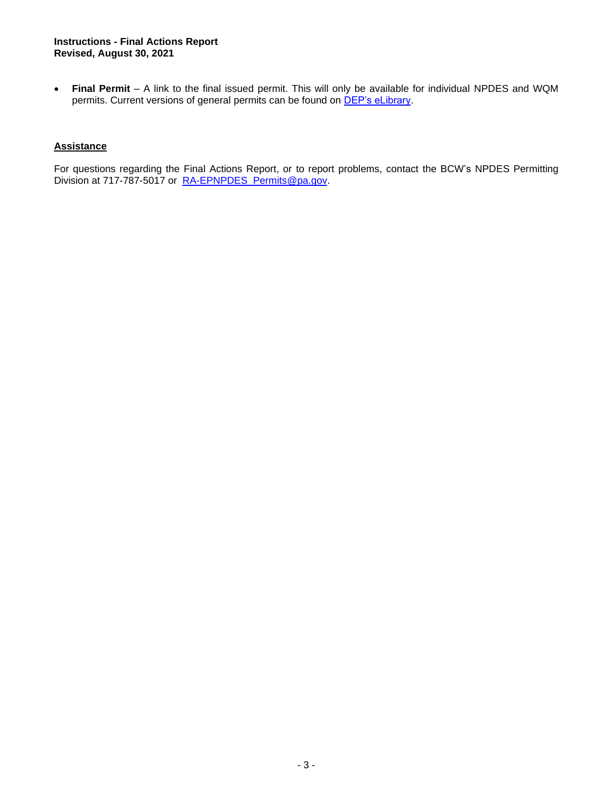• **Final Permit** – A link to the final issued permit. This will only be available for individual NPDES and WQM permits. Current versions of general permits can be found on **DEP's eLibrary**.

## **Assistance**

For questions regarding the Final Actions Report, or to report problems, contact the BCW's NPDES Permitting Division at 717-787-5017 or [RA-EPNPDES\\_Permits@pa.gov.](mailto:RA-EPNPDES_Permits@pa.gov)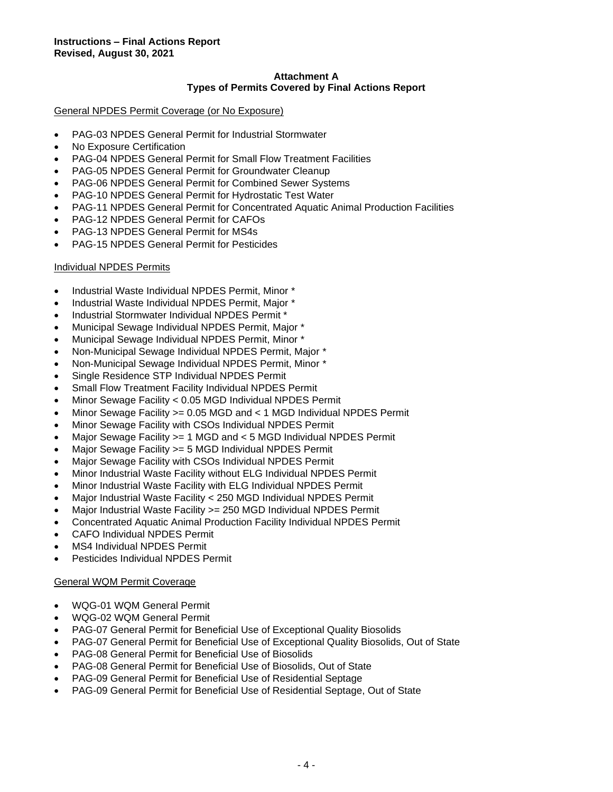## **Attachment A Types of Permits Covered by Final Actions Report**

## General NPDES Permit Coverage (or No Exposure)

- PAG-03 NPDES General Permit for Industrial Stormwater
- No Exposure Certification
- PAG-04 NPDES General Permit for Small Flow Treatment Facilities
- PAG-05 NPDES General Permit for Groundwater Cleanup
- PAG-06 NPDES General Permit for Combined Sewer Systems
- PAG-10 NPDES General Permit for Hydrostatic Test Water
- PAG-11 NPDES General Permit for Concentrated Aquatic Animal Production Facilities
- PAG-12 NPDES General Permit for CAFOs
- PAG-13 NPDES General Permit for MS4s
- PAG-15 NPDES General Permit for Pesticides

#### Individual NPDES Permits

- Industrial Waste Individual NPDES Permit, Minor \*
- Industrial Waste Individual NPDES Permit, Major \*
- Industrial Stormwater Individual NPDES Permit \*
- Municipal Sewage Individual NPDES Permit, Major \*
- Municipal Sewage Individual NPDES Permit, Minor \*
- Non-Municipal Sewage Individual NPDES Permit, Major \*
- Non-Municipal Sewage Individual NPDES Permit, Minor \*
- Single Residence STP Individual NPDES Permit
- Small Flow Treatment Facility Individual NPDES Permit
- Minor Sewage Facility < 0.05 MGD Individual NPDES Permit
- Minor Sewage Facility >= 0.05 MGD and < 1 MGD Individual NPDES Permit
- Minor Sewage Facility with CSOs Individual NPDES Permit
- Major Sewage Facility >= 1 MGD and < 5 MGD Individual NPDES Permit
- Major Sewage Facility > = 5 MGD Individual NPDES Permit
- Major Sewage Facility with CSOs Individual NPDES Permit
- Minor Industrial Waste Facility without ELG Individual NPDES Permit
- Minor Industrial Waste Facility with ELG Individual NPDES Permit
- Major Industrial Waste Facility < 250 MGD Individual NPDES Permit
- Major Industrial Waste Facility >= 250 MGD Individual NPDES Permit
- Concentrated Aquatic Animal Production Facility Individual NPDES Permit
- CAFO Individual NPDES Permit
- MS4 Individual NPDES Permit
- Pesticides Individual NPDES Permit

#### General WQM Permit Coverage

- WQG-01 WQM General Permit
- WQG-02 WQM General Permit
- PAG-07 General Permit for Beneficial Use of Exceptional Quality Biosolids
- PAG-07 General Permit for Beneficial Use of Exceptional Quality Biosolids, Out of State
- PAG-08 General Permit for Beneficial Use of Biosolids
- PAG-08 General Permit for Beneficial Use of Biosolids, Out of State
- PAG-09 General Permit for Beneficial Use of Residential Septage
- PAG-09 General Permit for Beneficial Use of Residential Septage, Out of State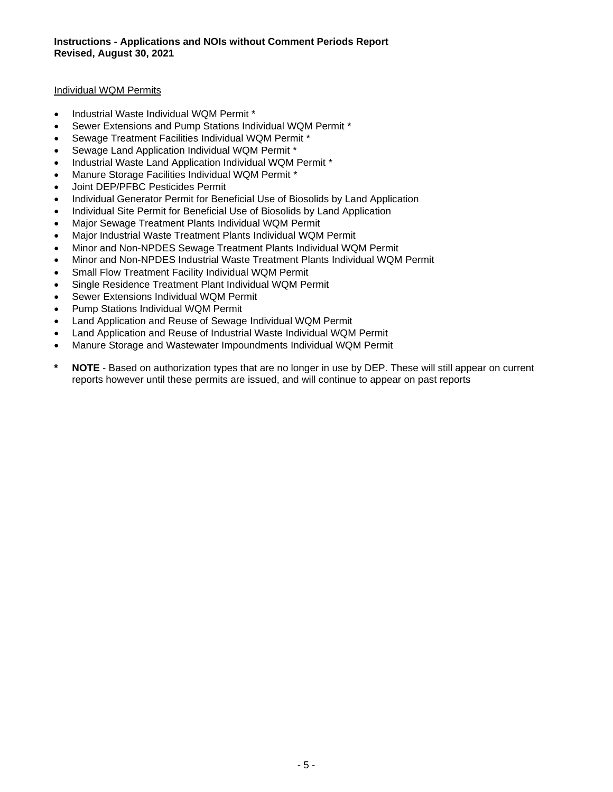## Individual WQM Permits

- Industrial Waste Individual WQM Permit \*
- Sewer Extensions and Pump Stations Individual WQM Permit \*
- Sewage Treatment Facilities Individual WQM Permit \*
- Sewage Land Application Individual WQM Permit \*
- Industrial Waste Land Application Individual WQM Permit \*
- Manure Storage Facilities Individual WQM Permit \*
- Joint DEP/PFBC Pesticides Permit
- Individual Generator Permit for Beneficial Use of Biosolids by Land Application
- Individual Site Permit for Beneficial Use of Biosolids by Land Application
- Major Sewage Treatment Plants Individual WQM Permit
- Major Industrial Waste Treatment Plants Individual WQM Permit
- Minor and Non-NPDES Sewage Treatment Plants Individual WQM Permit
- Minor and Non-NPDES Industrial Waste Treatment Plants Individual WQM Permit
- Small Flow Treatment Facility Individual WQM Permit
- Single Residence Treatment Plant Individual WQM Permit
- Sewer Extensions Individual WQM Permit
- Pump Stations Individual WQM Permit
- Land Application and Reuse of Sewage Individual WQM Permit
- Land Application and Reuse of Industrial Waste Individual WQM Permit
- Manure Storage and Wastewater Impoundments Individual WQM Permit
- **\* NOTE** Based on authorization types that are no longer in use by DEP. These will still appear on current reports however until these permits are issued, and will continue to appear on past reports